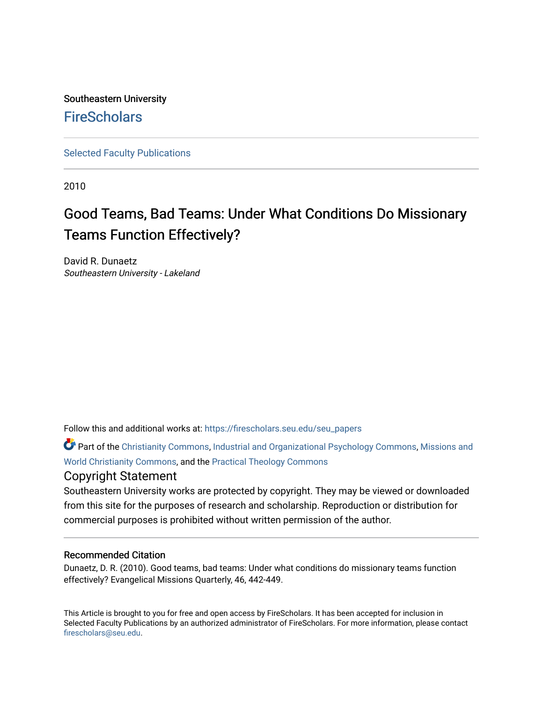## Southeastern University **FireScholars**

[Selected Faculty Publications](https://firescholars.seu.edu/seu_papers)

2010

# Good Teams, Bad Teams: Under What Conditions Do Missionary Teams Function Effectively?

David R. Dunaetz Southeastern University - Lakeland

Follow this and additional works at: [https://firescholars.seu.edu/seu\\_papers](https://firescholars.seu.edu/seu_papers?utm_source=firescholars.seu.edu%2Fseu_papers%2F14&utm_medium=PDF&utm_campaign=PDFCoverPages)

Part of the [Christianity Commons,](http://network.bepress.com/hgg/discipline/1181?utm_source=firescholars.seu.edu%2Fseu_papers%2F14&utm_medium=PDF&utm_campaign=PDFCoverPages) [Industrial and Organizational Psychology Commons,](http://network.bepress.com/hgg/discipline/412?utm_source=firescholars.seu.edu%2Fseu_papers%2F14&utm_medium=PDF&utm_campaign=PDFCoverPages) [Missions and](http://network.bepress.com/hgg/discipline/1187?utm_source=firescholars.seu.edu%2Fseu_papers%2F14&utm_medium=PDF&utm_campaign=PDFCoverPages)  [World Christianity Commons](http://network.bepress.com/hgg/discipline/1187?utm_source=firescholars.seu.edu%2Fseu_papers%2F14&utm_medium=PDF&utm_campaign=PDFCoverPages), and the [Practical Theology Commons](http://network.bepress.com/hgg/discipline/1186?utm_source=firescholars.seu.edu%2Fseu_papers%2F14&utm_medium=PDF&utm_campaign=PDFCoverPages) 

### Copyright Statement

Southeastern University works are protected by copyright. They may be viewed or downloaded from this site for the purposes of research and scholarship. Reproduction or distribution for commercial purposes is prohibited without written permission of the author.

#### Recommended Citation

Dunaetz, D. R. (2010). Good teams, bad teams: Under what conditions do missionary teams function effectively? Evangelical Missions Quarterly, 46, 442-449.

This Article is brought to you for free and open access by FireScholars. It has been accepted for inclusion in Selected Faculty Publications by an authorized administrator of FireScholars. For more information, please contact [firescholars@seu.edu.](mailto:firescholars@seu.edu)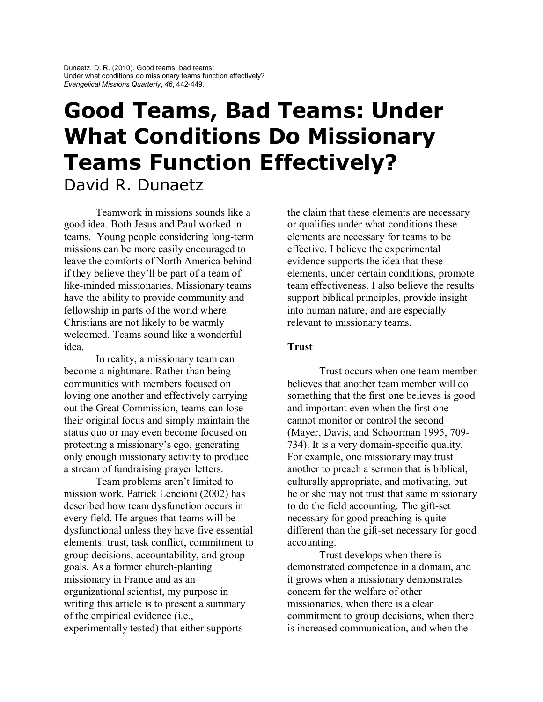# **Good Teams, Bad Teams: Under What Conditions Do Missionary Teams Function Effectively?** David R. Dunaetz

Teamwork in missions sounds like a good idea. Both Jesus and Paul worked in teams. Young people considering long-term missions can be more easily encouraged to leave the comforts of North America behind if they believe they'll be part of a team of like-minded missionaries. Missionary teams have the ability to provide community and fellowship in parts of the world where Christians are not likely to be warmly welcomed. Teams sound like a wonderful idea.

In reality, a missionary team can become a nightmare. Rather than being communities with members focused on loving one another and effectively carrying out the Great Commission, teams can lose their original focus and simply maintain the status quo or may even become focused on protecting a missionary's ego, generating only enough missionary activity to produce a stream of fundraising prayer letters.

Team problems aren't limited to mission work. Patrick Lencioni (2002) has described how team dysfunction occurs in every field. He argues that teams will be dysfunctional unless they have five essential elements: trust, task conflict, commitment to group decisions, accountability, and group goals. As a former church-planting missionary in France and as an organizational scientist, my purpose in writing this article is to present a summary of the empirical evidence (i.e., experimentally tested) that either supports

the claim that these elements are necessary or qualifies under what conditions these elements are necessary for teams to be effective. I believe the experimental evidence supports the idea that these elements, under certain conditions, promote team effectiveness. I also believe the results support biblical principles, provide insight into human nature, and are especially relevant to missionary teams.

#### **Trust**

Trust occurs when one team member believes that another team member will do something that the first one believes is good and important even when the first one cannot monitor or control the second (Mayer, Davis, and Schoorman 1995, 709- 734). It is a very domain-specific quality. For example, one missionary may trust another to preach a sermon that is biblical, culturally appropriate, and motivating, but he or she may not trust that same missionary to do the field accounting. The gift-set necessary for good preaching is quite different than the gift-set necessary for good accounting.

Trust develops when there is demonstrated competence in a domain, and it grows when a missionary demonstrates concern for the welfare of other missionaries, when there is a clear commitment to group decisions, when there is increased communication, and when the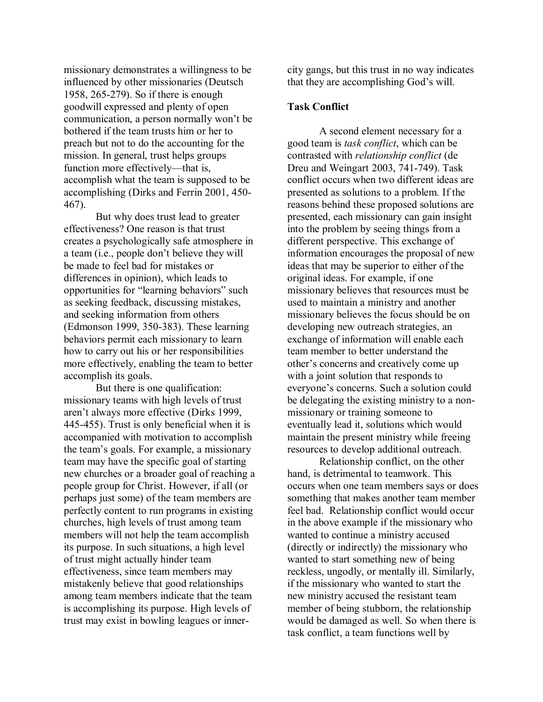missionary demonstrates a willingness to be influenced by other missionaries (Deutsch 1958, 265-279). So if there is enough goodwill expressed and plenty of open communication, a person normally won't be bothered if the team trusts him or her to preach but not to do the accounting for the mission. In general, trust helps groups function more effectively—that is, accomplish what the team is supposed to be accomplishing (Dirks and Ferrin 2001, 450- 467).

But why does trust lead to greater effectiveness? One reason is that trust creates a psychologically safe atmosphere in a team (i.e., people don't believe they will be made to feel bad for mistakes or differences in opinion), which leads to opportunities for "learning behaviors" such as seeking feedback, discussing mistakes, and seeking information from others (Edmonson 1999, 350-383). These learning behaviors permit each missionary to learn how to carry out his or her responsibilities more effectively, enabling the team to better accomplish its goals.

But there is one qualification: missionary teams with high levels of trust aren't always more effective (Dirks 1999, 445-455). Trust is only beneficial when it is accompanied with motivation to accomplish the team's goals. For example, a missionary team may have the specific goal of starting new churches or a broader goal of reaching a people group for Christ. However, if all (or perhaps just some) of the team members are perfectly content to run programs in existing churches, high levels of trust among team members will not help the team accomplish its purpose. In such situations, a high level of trust might actually hinder team effectiveness, since team members may mistakenly believe that good relationships among team members indicate that the team is accomplishing its purpose. High levels of trust may exist in bowling leagues or innercity gangs, but this trust in no way indicates that they are accomplishing God's will.

#### **Task Conflict**

A second element necessary for a good team is *task conflict*, which can be contrasted with *relationship conflict* (de Dreu and Weingart 2003, 741-749). Task conflict occurs when two different ideas are presented as solutions to a problem. If the reasons behind these proposed solutions are presented, each missionary can gain insight into the problem by seeing things from a different perspective. This exchange of information encourages the proposal of new ideas that may be superior to either of the original ideas. For example, if one missionary believes that resources must be used to maintain a ministry and another missionary believes the focus should be on developing new outreach strategies, an exchange of information will enable each team member to better understand the other's concerns and creatively come up with a joint solution that responds to everyone's concerns. Such a solution could be delegating the existing ministry to a nonmissionary or training someone to eventually lead it, solutions which would maintain the present ministry while freeing resources to develop additional outreach.

Relationship conflict, on the other hand, is detrimental to teamwork. This occurs when one team members says or does something that makes another team member feel bad. Relationship conflict would occur in the above example if the missionary who wanted to continue a ministry accused (directly or indirectly) the missionary who wanted to start something new of being reckless, ungodly, or mentally ill. Similarly, if the missionary who wanted to start the new ministry accused the resistant team member of being stubborn, the relationship would be damaged as well. So when there is task conflict, a team functions well by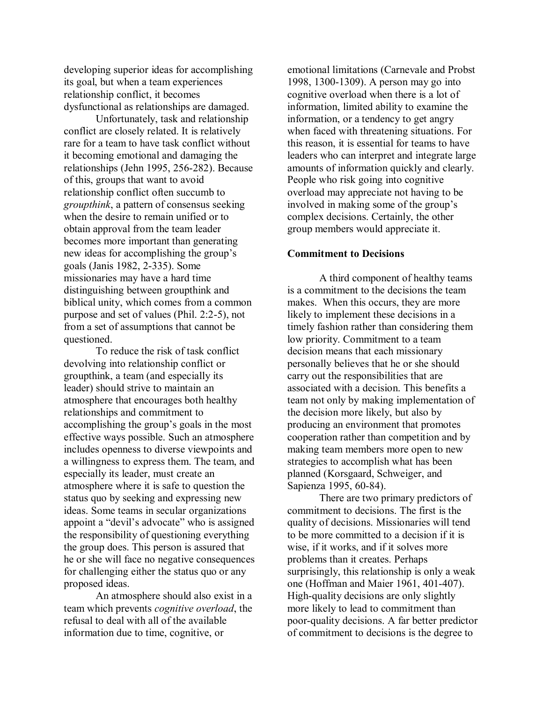developing superior ideas for accomplishing its goal, but when a team experiences relationship conflict, it becomes dysfunctional as relationships are damaged.

Unfortunately, task and relationship conflict are closely related. It is relatively rare for a team to have task conflict without it becoming emotional and damaging the relationships (Jehn 1995, 256-282). Because of this, groups that want to avoid relationship conflict often succumb to *groupthink*, a pattern of consensus seeking when the desire to remain unified or to obtain approval from the team leader becomes more important than generating new ideas for accomplishing the group's goals (Janis 1982, 2-335). Some missionaries may have a hard time distinguishing between groupthink and biblical unity, which comes from a common purpose and set of values (Phil. 2:2-5), not from a set of assumptions that cannot be questioned.

To reduce the risk of task conflict devolving into relationship conflict or groupthink, a team (and especially its leader) should strive to maintain an atmosphere that encourages both healthy relationships and commitment to accomplishing the group's goals in the most effective ways possible. Such an atmosphere includes openness to diverse viewpoints and a willingness to express them. The team, and especially its leader, must create an atmosphere where it is safe to question the status quo by seeking and expressing new ideas. Some teams in secular organizations appoint a "devil's advocate" who is assigned the responsibility of questioning everything the group does. This person is assured that he or she will face no negative consequences for challenging either the status quo or any proposed ideas.

An atmosphere should also exist in a team which prevents *cognitive overload*, the refusal to deal with all of the available information due to time, cognitive, or

emotional limitations (Carnevale and Probst 1998, 1300-1309). A person may go into cognitive overload when there is a lot of information, limited ability to examine the information, or a tendency to get angry when faced with threatening situations. For this reason, it is essential for teams to have leaders who can interpret and integrate large amounts of information quickly and clearly. People who risk going into cognitive overload may appreciate not having to be involved in making some of the group's complex decisions. Certainly, the other group members would appreciate it.

#### **Commitment to Decisions**

A third component of healthy teams is a commitment to the decisions the team makes. When this occurs, they are more likely to implement these decisions in a timely fashion rather than considering them low priority. Commitment to a team decision means that each missionary personally believes that he or she should carry out the responsibilities that are associated with a decision. This benefits a team not only by making implementation of the decision more likely, but also by producing an environment that promotes cooperation rather than competition and by making team members more open to new strategies to accomplish what has been planned (Korsgaard, Schweiger, and Sapienza 1995, 60-84).

There are two primary predictors of commitment to decisions. The first is the quality of decisions. Missionaries will tend to be more committed to a decision if it is wise, if it works, and if it solves more problems than it creates. Perhaps surprisingly, this relationship is only a weak one (Hoffman and Maier 1961, 401-407). High-quality decisions are only slightly more likely to lead to commitment than poor-quality decisions. A far better predictor of commitment to decisions is the degree to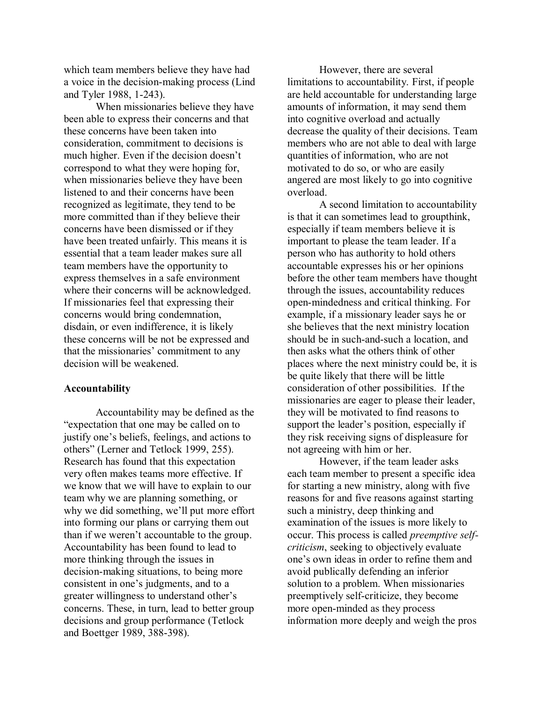which team members believe they have had a voice in the decision-making process (Lind and Tyler 1988, 1-243).

When missionaries believe they have been able to express their concerns and that these concerns have been taken into consideration, commitment to decisions is much higher. Even if the decision doesn't correspond to what they were hoping for, when missionaries believe they have been listened to and their concerns have been recognized as legitimate, they tend to be more committed than if they believe their concerns have been dismissed or if they have been treated unfairly. This means it is essential that a team leader makes sure all team members have the opportunity to express themselves in a safe environment where their concerns will be acknowledged. If missionaries feel that expressing their concerns would bring condemnation, disdain, or even indifference, it is likely these concerns will be not be expressed and that the missionaries' commitment to any decision will be weakened.

#### **Accountability**

Accountability may be defined as the "expectation that one may be called on to justify one's beliefs, feelings, and actions to others" (Lerner and Tetlock 1999, 255). Research has found that this expectation very often makes teams more effective. If we know that we will have to explain to our team why we are planning something, or why we did something, we'll put more effort into forming our plans or carrying them out than if we weren't accountable to the group. Accountability has been found to lead to more thinking through the issues in decision-making situations, to being more consistent in one's judgments, and to a greater willingness to understand other's concerns. These, in turn, lead to better group decisions and group performance (Tetlock and Boettger 1989, 388-398).

However, there are several limitations to accountability. First, if people are held accountable for understanding large amounts of information, it may send them into cognitive overload and actually decrease the quality of their decisions. Team members who are not able to deal with large quantities of information, who are not motivated to do so, or who are easily angered are most likely to go into cognitive overload.

A second limitation to accountability is that it can sometimes lead to groupthink, especially if team members believe it is important to please the team leader. If a person who has authority to hold others accountable expresses his or her opinions before the other team members have thought through the issues, accountability reduces open-mindedness and critical thinking. For example, if a missionary leader says he or she believes that the next ministry location should be in such-and-such a location, and then asks what the others think of other places where the next ministry could be, it is be quite likely that there will be little consideration of other possibilities. If the missionaries are eager to please their leader, they will be motivated to find reasons to support the leader's position, especially if they risk receiving signs of displeasure for not agreeing with him or her.

However, if the team leader asks each team member to present a specific idea for starting a new ministry, along with five reasons for and five reasons against starting such a ministry, deep thinking and examination of the issues is more likely to occur. This process is called *preemptive selfcriticism*, seeking to objectively evaluate one's own ideas in order to refine them and avoid publically defending an inferior solution to a problem. When missionaries preemptively self-criticize, they become more open-minded as they process information more deeply and weigh the pros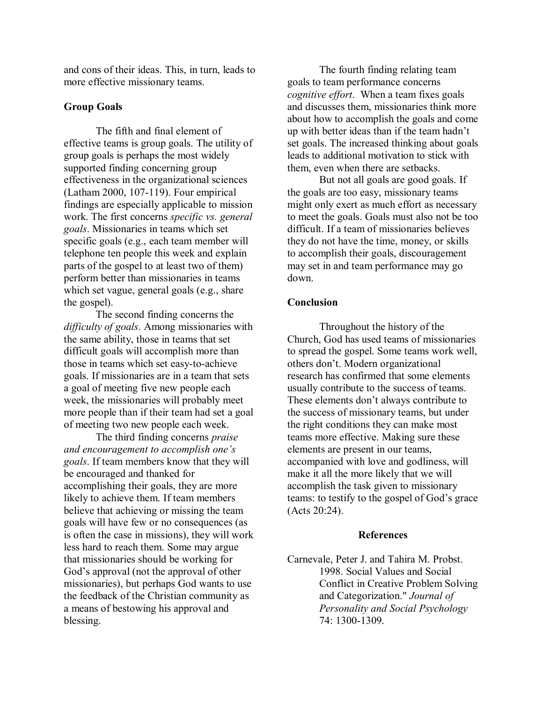and cons of their ideas. This, in turn, leads to more effective missionary teams.

#### **Group Goals**

The fifth and final element of effective teams is group goals. The utility of group goals is perhaps the most widely supported finding concerning group effectiveness in the organizational sciences (Latham 2000, 107-119). Four empirical findings are especially applicable to mission work. The first concerns *specific vs. general goals*. Missionaries in teams which set specific goals (e.g., each team member will telephone ten people this week and explain parts of the gospel to at least two of them) perform better than missionaries in teams which set vague, general goals (e.g., share the gospel).

The second finding concerns the *difficulty of goals*. Among missionaries with the same ability, those in teams that set difficult goals will accomplish more than those in teams which set easy-to-achieve goals. If missionaries are in a team that sets a goal of meeting five new people each week, the missionaries will probably meet more people than if their team had set a goal of meeting two new people each week.

The third finding concerns *praise and encouragement to accomplish one's goals*. If team members know that they will be encouraged and thanked for accomplishing their goals, they are more likely to achieve them. If team members believe that achieving or missing the team goals will have few or no consequences (as is often the case in missions), they will work less hard to reach them. Some may argue that missionaries should be working for God's approval (not the approval of other missionaries), but perhaps God wants to use the feedback of the Christian community as a means of bestowing his approval and blessing.

The fourth finding relating team goals to team performance concerns *cognitive effort*. When a team fixes goals and discusses them, missionaries think more about how to accomplish the goals and come up with better ideas than if the team hadn't set goals. The increased thinking about goals leads to additional motivation to stick with them, even when there are setbacks.

But not all goals are good goals. If the goals are too easy, missionary teams might only exert as much effort as necessary to meet the goals. Goals must also not be too difficult. If a team of missionaries believes they do not have the time, money, or skills to accomplish their goals, discouragement may set in and team performance may go down.

#### **Conclusion**

Throughout the history of the Church, God has used teams of missionaries to spread the gospel. Some teams work well, others don't. Modern organizational research has confirmed that some elements usually contribute to the success of teams. These elements don't always contribute to the success of missionary teams, but under the right conditions they can make most teams more effective. Making sure these elements are present in our teams, accompanied with love and godliness, will make it all the more likely that we will accomplish the task given to missionary teams: to testify to the gospel of God's grace (Acts 20:24).

#### **References**

Carnevale, Peter J. and Tahira M. Probst. 1998. Social Values and Social Conflict in Creative Problem Solving and Categorization." *Journal of Personality and Social Psychology*  74: 1300-1309.